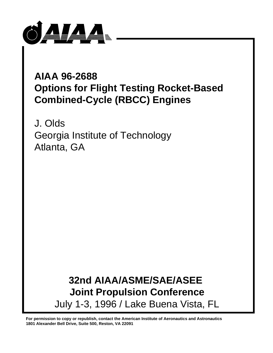

# **AIAA 96-2688 Options for Flight Testing Rocket-Based Combined-Cycle (RBCC) Engines**

J. Olds Georgia Institute of Technology Atlanta, GA

> **32nd AIAA/ASME/SAE/ASEE Joint Propulsion Conference** July 1-3, 1996 / Lake Buena Vista, FL

**For permission to copy or republish, contact the American Institute of Aeronautics and Astronautics 1801 Alexander Bell Drive, Suite 500, Reston, VA 22091**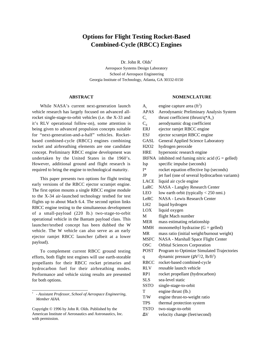# **Options for Flight Testing Rocket-Based Combined-Cycle (RBCC) Engines**

Dr. John R. Olds† Aerospace Systems Design Laboratory School of Aerospace Engineering Georgia Institute of Technology, Atlanta, GA 30332-0150

# **ABSTRACT**

While NASA's current next-generation launch vehicle research has largely focused on advanced allrocket single-stage-to-orbit vehicles (i.e. the X-33 and it's RLV operational follow-on), some attention is being given to advanced propulsion concepts suitable for "next-generation-and-a-half" vehicles. Rocketbased combined-cycle (RBCC) engines combining rocket and airbreathing elements are one candidate concept. Preliminary RBCC engine development was undertaken by the United States in the 1960's. However, additional ground and flight research is required to bring the engine to technological maturity.

This paper presents two options for flight testing early versions of the RBCC ejector scramjet engine. The first option mounts a single RBCC engine module to the X-34 air-launched technology testbed for test flights up to about Mach 6.4. The second option links RBCC engine testing to the simultaneous development of a small-payload (220 lb.) two-stage-to-orbit operational vehicle in the Bantam payload class. This launcher/testbed concept has been dubbed the W vehicle. The W vehicle can also serve as an early ejector ramjet RBCC launcher (albeit at a lower payload).

To complement current RBCC ground testing efforts, both flight test engines will use earth-storable propellants for their RBCC rocket primaries and hydrocarbon fuel for their airbreathing modes. Performance and vehicle sizing results are presented for both options.

\_\_\_\_\_\_\_\_\_\_\_\_\_\_\_\_\_\_\_\_\_\_\_\_\_

#### **NOMENCLATURE**

| $A_c$                         | engine capture area $(\text{ft}^2)$                    |
|-------------------------------|--------------------------------------------------------|
| <b>APAS</b>                   | Aerodynamic Preliminary Analysis System                |
| $C_{t}$                       | thrust coefficient (thrust/q $A_c$ )                   |
| $C_{d}$                       | aerodynamic drag coefficient                           |
| <b>ERJ</b>                    | ejector ramjet RBCC engine                             |
| <b>ESJ</b>                    | ejector scramjet RBCC engine                           |
| <b>GASL</b>                   | General Applied Science Laboratory                     |
| H <sub>2</sub> O <sub>2</sub> | hydrogen peroxide                                      |
| <b>HRE</b>                    | hypersonic research engine                             |
| <b>IRFNA</b>                  | inhibited red fuming nitric acid $(G =$ gelled)        |
| Isp                           | specific impulse (seconds)                             |
| I*                            | rocket equation effective Isp (seconds)                |
| JP                            | jet fuel (one of several hydrocarbon variants)         |
| <b>LACE</b>                   | liquid air cycle engine                                |
| LaRC                          | <b>NASA - Langley Research Center</b>                  |
| <b>LEO</b>                    | low earth orbit (typically $<$ 250 nmi.)               |
| LeRC                          | <b>NASA - Lewis Research Center</b>                    |
| LH <sub>2</sub>               | liquid hydrogen                                        |
| LOX                           | liquid oxygen                                          |
| М                             | flight Mach number                                     |
| <b>MER</b>                    | mass estimating relationship                           |
| <b>MMH</b>                    | monomethyl hydrazine $(G =$ gelled)                    |
| MR                            | mass ratio (initial weight/burnout weight)             |
| <b>MSFC</b>                   | NASA - Marshall Space Flight Center                    |
| <b>OSC</b>                    | <b>Orbital Sciences Corporation</b>                    |
| <b>POST</b>                   | Program to Optimize Simulated Trajectories             |
| $\mathbf q$                   | dynamic pressure ( $\rho V^2/2$ , lb/ft <sup>2</sup> ) |
| <b>RBCC</b>                   | rocket-based combined-cycle                            |
| <b>RLV</b>                    | reusable launch vehicle                                |
| RP1                           | rocket propellant (hydrocarbon)                        |
| <b>SLS</b>                    | sea-level static                                       |
| <b>SSTO</b>                   | single-stage-to-orbit                                  |
| T                             | engine thrust (lb.)                                    |
| $\mathrm{T}/\mathrm{W}$       | engine thrust-to-weight ratio                          |
| <b>TPS</b>                    | thermal protection system                              |
| <b>TSTO</b>                   | two-stage-to-orbit                                     |
| $\Delta V$                    | velocity change (feet/second)                          |

<sup>†</sup> *- Assistant Professor, School of Aerospace Engineering, Member AIAA.*

Copyright © 1996 by John R. Olds. Published by the American Institute of Aeronautics and Astronautics, Inc. with permission.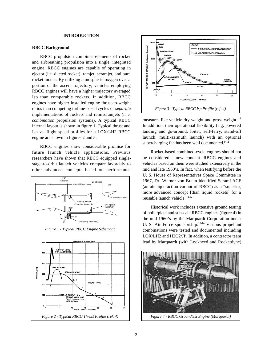# **INTRODUCTION**

#### **RBCC Background**

RBCC propulsion combines elements of rocket and airbreathing propulsion into a single, integrated engine. RBCC engines are capable of operating in ejector (i.e. ducted rocket), ramjet, scramjet, and pure rocket modes. By utilizing atmospheric oxygen over a portion of the ascent trajectory, vehicles employing RBCC engines will have a higher trajectory averaged Isp than comparable rockets. In addition, RBCC engines have higher installed engine thrust-to-weight ratios than competing turbine-based cycles or *separate* implementations of rockets and ram/scramjets (i. e. *combination* propulsion systems). A typical RBCC internal layout is shown in figure 1. Typical thrust and Isp vs. flight speed profiles for a LOX/LH2 RBCC engine are shown in figures 2 and 3.

RBCC engines show considerable promise for future launch vehicle applications. Previous researchers have shown that RBCC equipped singlestage-to-orbit launch vehicles compare favorably to other advanced concepts based on performance





measures like vehicle dry weight and gross weight.<sup>1-8</sup> In addition, their operational flexibility (e.g. powered landing and go-around, loiter, self-ferry, stand-off launch, multi-azimuth launch) with an optional supercharging fan has been well documented. $9-11$ 

Rocket-based combined-cycle engines should not be considered a new concept. RBCC engines and vehicles based on them were studied extensively in the mid and late 1960's. In fact, when testifying before the U. S. House of Representatives Space Committee in 1967, Dr. Werner von Braun identified ScramLACE (an air-liquefaction variant of RBCC) as a "superior, more advanced concept [than liquid rockets] for a reusable launch vehicle."<sup>2,12</sup>

Historical work includes extensive ground testing of boilerplate and subscale RBCC engines (figure 4) in the mid-1960's by the Marquardt Corporation under U. S. Air Force sponsorship.<sup>13-14</sup> Various propellant combinations were tested and documented including LOX/LH2 and H2O2/JP. In addition, a contractor team lead by Marquardt (with Lockheed and Rocketdyne)



*Figure 4 - RBCC Groundtest Engine (Marquardt)*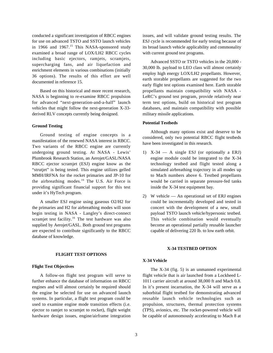conducted a significant investigation of RBCC engines for use on advanced TSTO and SSTO launch vehicles in 1966 and  $1967$ .<sup>15</sup> This NASA-sponsored study examined a broad range of LOX/LH2 RBCC cycles including basic ejectors, ramjets, scramjets, supercharging fans, and air liquefaction and enrichment elements in various combinations (initially 36 options). The results of this effort are well documented in reference 15.

Based on this historical and more recent research, NASA is beginning to re-examine RBCC propulsion for advanced "next-generation-and-a-half" launch vehicles that might follow the next-generation X-33 derived RLV concepts currently being designed.

#### **Ground Testing**

Ground testing of engine concepts is a manifestation of the renewed NASA interest in RBCC. Two variants of the RBCC engine are currently undergoing ground testing. At NASA - Lewis' Plumbrook Research Station, an Aerojet/GASL/NASA RBCC ejector scramjet (ESJ) engine know as the "strutjet" is being tested. This engine utilizes gelled MMH/IRFNA for the rocket primaries and JP-10 for the airbreathing modes.16 The U.S. Air Force is providing significant financial support for this test under it's HyTech program.

A smaller ESJ engine using gaseous O2/H2 for the primaries and H2 for airbreathing modes will soon begin testing in NASA - Langley's direct-connect scramjet test facility.<sup>16</sup> The test hardware was also supplied by Aerojet/GASL. Both ground test programs are expected to contribute significantly to the RBCC database of knowledge.

#### **FLIGHT TEST OPTIONS**

#### **Flight Test Objectives**

A follow-on flight test program will serve to further enhance the database of information on RBCC engines and will almost certainly be required should the engine be selected for use on advanced launch systems. In particular, a flight test program could be used to examine engine mode transition effects (i.e. ejector to ramjet to scramjet to rocket), flight weight hardware design issues, engine/airframe integration issues, and will validate ground testing results. The ESJ cycle is recommended for early testing because of its broad launch vehicle applicability and commonality with current ground test programs.

Advanced SSTO or TSTO vehicles in the 20,000 - 30,000 lb. payload to LEO class will almost certainly employ high energy LOX/LH2 propellants. However, earth storable propellants are suggested for the two early flight test options examined here. Earth storable propellants maintain compatibility with NASA - LeRC's ground test program, provide relatively near term test options, build on historical test program databases, and maintain compatibility with possible military missile applications.

# **Potential Testbeds**

Although many options exist and deserve to be considered, only two potential RBCC flight testbeds have been investigated in this research.

- 1) X-34 A single ESJ (or optionally a ERJ) engine module could be integrated to the X-34 technology testbed and flight tested along a simulated airbreathing trajectory in all modes up to Mach numbers above 6. Testbed propellants would be carried in separate pressure-fed tanks inside the X-34 test equipment bay.
- 2) W vehicle An operational set of ERJ engines could be incrementally developed and tested in concert with the development of a new, small payload TSTO launch vehicle/hypersonic testbed. This vehicle combination would eventually become an operational partially reusable launcher capable of delivering 220 lb. to low earth orbit.

#### **X-34 TESTBED OPTION**

# **X-34 Vehicle**

The X-34 (fig. 5) is an unmanned experimental flight vehicle that is air launched from a Lockheed L-1011 carrier aircraft at around 38,000 ft and Mach 0.8. In it's present incarnation, the X-34 will serve as a suborbital flight testbed for demonstrating advanced reusable launch vehicle technologies such as propulsion, structures, thermal protection systems (TPS), avionics, etc. The rocket-powered vehicle will be capable of autonomously accelerating to Mach 8 at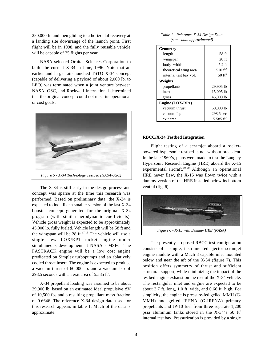250,000 ft. and then gliding to a horizontal recovery at a landing site downrange of the launch point. First flight will be in 1998, and the fully reusable vehicle will be capable of 25 flights per year.

NASA selected Orbital Sciences Corporation to build the current X-34 in June, 1996. Note that an earlier and larger air-launched TSTO X-34 concept (capable of delivering a payload of about 2,000 lb. to LEO) was terminated when a joint venture between NASA, OSC, and Rockwell International determined that the original concept could not meet its operational or cost goals.



The X-34 is still early in the design process and concept was sparse at the time this research was performed. Based on preliminary data, the X-34 is expected to look like a smaller version of the last X-34 booster concept generated for the original X-34 program (with similar aerodynamic coefficients). Vehicle gross weight is expected to be approximately 45,000 lb. fully fueled. Vehicle length will be 58 ft and the wingspan will be  $28 \text{ ft.}^{17-18}$  The vehicle will use a single new LOX/RP1 rocket engine under simultaneous development at NASA - MSFC. The FASTRACK engine will be a low cost engine predicated on Simplex turbopumps and an ablatively cooled throat insert. The engine is expected to produce a vacuum thrust of 60,000 lb. and a vacuum Isp of 298.5 seconds with an exit area of  $5.585$  ft<sup>2</sup>.

X-34 propellant loading was assumed to be about 29,900 lb. based on an estimated ideal propulsive ∆V of 10,500 fps and a resulting propellant mass fraction of 0.6646. The reference X-34 design data used for this research appears in table 1. Much of the data is approximate.

#### *Table 1 - Reference X-34 Design Data (some data approximated)*

| Geometry               |                       |
|------------------------|-----------------------|
| length                 | 58 ft                 |
| wingspan               | 28 ft                 |
| body width             | 7.2 ft                |
| theoretical wing area  | 510 $ft^2$            |
| internal test bay vol. | $50 \text{ ft}^3$     |
| Weights                |                       |
| propellants            | 29,905 lb             |
| inert                  | 15,095 lb             |
| gross                  | 45,000 lb             |
| Engine (LOX/RP1)       |                       |
| vacuum thrust          | $60,000$ lb           |
| vacuum Isp             | 298.5 sec             |
| exit area              | 5.585 ft <sup>2</sup> |

#### **RBCC/X-34 Testbed Integration**

Flight testing of a scramjet aboard a rocketpowered hypersonic testbed is not without precedent. In the late 1960's, plans were made to test the Langley Hypersonic Research Engine (HRE) aboard the X-15 experimental aircraft.<sup>19-20</sup> Although an operational HRE never flew, the X-15 was flown twice with a dummy version of the HRE installed below its bottom ventral (fig. 6).



The presently proposed RBCC test configuration consists of a single, instrumented ejector scramjet engine module with a Mach 8 capable inlet mounted below and near the aft of the X-34 (figure 7). This position offers symmetry of thrust and sufficient structural support, while minimizing the impact of the testbed engine exhaust on the rest of the X-34 vehicle. The rectangular inlet and engine are expected to be about 3.7 ft. long, 1.0 ft. wide, and 0.66 ft. high. For simplicity, the engine is pressure-fed gelled MMH (G-MMH) and gelled IRFNA (G-IRFNA) primary propellants and JP-10 fuel from three separate 1,200 psia aluminum tanks stored in the  $X-34$ 's 50 ft<sup>3</sup> internal test bay. Pressurization is provided by a single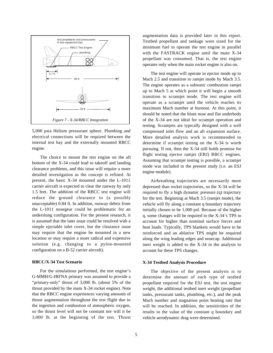

5,000 psia Helium pressurant sphere. Plumbing and electrical connections will be required between the internal test bay and the externally mounted RBCC engine.

The choice to mount the test engine on the aft bottom of the X-34 could lead to takeoff and landing clearance problems, and this issue will require a more detailed investigation as the concept is refined. At present, the basic X-34 mounted under the L-1011 carrier aircraft is expected to clear the runway by only 1.5 feet. The addition of the RBCC test engine will reduce the ground clearance to (a possibly unacceptable) 0.84 ft. In addition, runway debris from the L-1011 nosegear could be problematic for an underslung configuration. For the present research, it is assumed that the later issue could be resolved with a simple ejectable inlet cover, but the clearance issue may require that the engine be mounted in a new location or may require a more radical and expensive solution (e.g. changing to a pylon-mounted configuration on a B-52 carrier aircraft).

# **RBCC/X-34 Test Scenario**

For the simulations performed, the test engine's G-MMH/G-IRFNA primary was assumed to provide a "primary-only" thrust of 3,000 lb. (about 5% of the thrust provided by the main X-34 rocket engine). Note that the RBCC engine experiences varying amounts of thrust augmentation throughout the test flight due to the ingestion and combustion of atmospheric oxygen, so the thrust level will not be constant nor will it be 3,000 lb. at the beginning of the test. Thrust

augmentation data is provided later in this report. Testbed propellant and tankage were sized for the minimum fuel to operate the test engine in parallel with the FASTRACK engine until the main X-34 propellant was consumed. That is, the test engine operates only when the main rocket engine is also on.

The test engine will operate in ejector mode up to Mach 2.5 and transition to ramjet mode by Mach 3.5. The engine operates as a subsonic combustion ramjet up to Mach 5 at which point it will begin a smooth transition to scramjet mode. The test engine will operate as a scramjet until the vehicle reaches its maximum Mach number at burnout. At this point, it should be noted that the blunt nose and flat underbody of the X-34 are not ideal for scramjet operation and testing. Scramjets are typically designed with a well compressed inlet flow and an aft expansion surface. More detailed analysis work is recommended to determine if scramjet testing on the X-34 is worth pursuing. If not, then the X-34 still holds promise for flight testing ejector ramjet (ERJ) RBCC engines. Assuming that scramjet testing is possible, a scramjet mode was included in the present study (i.e. an ESJ engine module).

Airbreathing trajectories are necessarily more depressed than rocket trajectories, so the X-34 will be required to fly a high dynamic pressure (q) trajectory for the test. Beginning at Mach 3.5 (ramjet mode), the vehicle will fly along a constant q boundary trajectory initially chosen to be 1,000 psf. Because of the higher q, some changes will be required to the X-34's TPS to account for higher than nominal surface forces and heat loads. Typically, TPS blankets would have to be reinforced and an ablative TPS might be required along the wing leading edges and nosecap. Additional inert weight is added to the X-34 in the analysis to account for these TPS changes.

#### **X-34 Testbed Analysis Procedure**

The objective of the present analysis is to determine the amount of each type of testbed propellant required for the ESJ test, the test engine weight, the additional testbed inert weight (propellant tanks, pressurant tanks, plumbing, etc.), and the peak Mach number and stagnation point heating rate that will be reached. In addition, the sensitivities of the results to the value of the constant q boundary and vehicle aerodynamic drag were determined.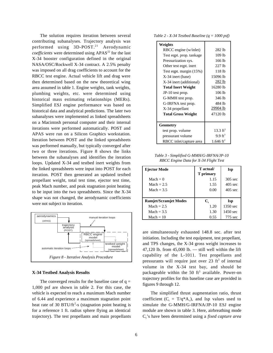The solution requires iteration between several contributing subanalyses. Trajectory analysis was performed using  $3D-POST<sup>21</sup>$  Aerodynamic *coefficients* were determined using APAS<sup>22</sup> for the last X-34 booster configuration defined in the original NASA/OSC/Rockwell X-34 contract. A 2.5% penalty was imposed on all drag coefficients to account for the RBCC test engine. Actual vehicle lift and drag were then determined based on the new theoretical wing area assumed in table 1. Engine weights, tank weights, plumbing weights, etc. were determined using historical mass estimating relationships (MERs). Simplified ESJ engine performance was based on historical data and analytical predictions. The later two subanalyses were implemented as linked spreadsheets on a Macintosh personal computer and their internal iterations were performed automatically. POST and APAS were run on a Silicon Graphics workstation. Iteration between POST and the linked spreadsheets was performed manually, but typically converged after two or three iterations. Figure 8 shows the links between the subanalyses and identifies the iteration loops. Updated X-34 and testbed inert weights from the linked spreadsheets were input into POST for each iteration. POST then generated an updated testbed propellant weight, total test time, ejector test time, peak Mach number, and peak stagnation point heating to be input into the two spreadsheets. Since the X-34 shape was not changed, the aerodynamic coefficients were not subject to iteration.



#### **X-34 Testbed Analysis Results**

The converged results for the baseline case of  $q =$ 1,000 psf are shown in table 2. For this case, the vehicle is expected to reach a maximum Mach number of 6.44 and experience a maximum stagnation point heat rate of 30 BTU/ft<sup>2</sup>-s (stagnation point heating is for a reference 1 ft. radius sphere flying an identical trajectory). The test propellants and main propellants

*Table 2 - X-34 Testbed Baseline (q = 1000 psf)*

| Weights                   |                       |
|---------------------------|-----------------------|
| RBCC engine (w/inlet)     | 282 lb                |
| Test eqpt. prop. tankage  | 109 lb                |
| Pressurization sys.       | $166$ lb              |
| Other test eqpt. inert    | $227$ lb              |
| Test eqpt. margin (15%)   | 118 lb                |
| X-34 inert (base)         | 15096 lb              |
| X-34 inert (additional)   | 282 lb                |
| <b>Total Inert Weight</b> | 16280 lb              |
| JP-10 test prop.          | 106 lb                |
| G-MMH test prop.          | 346 lb                |
| G-IRFNA test prop.        | 484 lb                |
| X-34 propellant           | 29904 lb              |
| <b>Total Gross Weight</b> | 47120 lb              |
|                           |                       |
| Geometry                  |                       |
| test prop. volume         | $13.3 \text{ ft}^3$   |
| pressurant volume         | $9.9 \text{ ft}^3$    |
| RBCC inlet/capture area   | 1.646 ft <sup>2</sup> |

*Table 3 - Simplified G-MMH/G-IRFNA/JP-10 RBCC Engine Data for X-34 Flight Test*

| <b>Ejector Mode</b>          | T actual/            | <b>Isp</b>        |
|------------------------------|----------------------|-------------------|
|                              | <b>T</b> primary     |                   |
| $Mach = 0$                   | 1.15                 | $305$ sec         |
| Mach $= 2.5$                 | 1.55                 | $405 \text{ sec}$ |
| Mach $= 3.5$                 | 0.00                 | $405 \text{ sec}$ |
|                              |                      |                   |
| <b>Ramjet/Scramjet Modes</b> | $\mathbf{C}_{\cdot}$ | <b>Isp</b>        |
| Mach $= 2.5$                 | 1.20                 | $1350$ sec        |
| $Mach = 3.5$                 | 1.30                 | 1450 sec          |
| $Mach = 10$                  | 0.55                 | 775 sec           |

are simultaneously exhausted 148.8 sec. after test initiation. Including the test equipment, test propellant, and TPS changes, the X-34 gross weight increases to 47,120 lb. from  $45,000$  lb.  $-$  still well within the lift capability of the L-1011. Test propellants and pressurants will require just over  $23 \text{ ft}^3$  of internal volume in the X-34 test bay, and should be packageable within the 50  $ft^3$  available. Power-on trajectory profiles for this baseline case are provided in figures 9 through 12.

The simplified thrust augmentation ratio, thrust coefficient ( $C_t = T/q^*A_c$ ), and Isp values used to simulate the G-MMH/G-IRFNA/JP-10 ESJ engine module are shown in table 3. Here, airbreathing mode  $C_t$ 's have been determined using a *fixed capture area*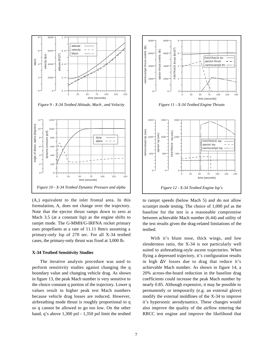

*Figure 9 - X-34 Testbed Altitude, Mach , and Velocity*



 $(A<sub>c</sub>)$  equivalent to the inlet frontal area. In this formulation,  $A_c$  does not change over the trajectory. Note that the ejector thrust ramps down to zero at Mach 3.5 (at a constant Isp) as the engine shifts to ramjet mode. The G-MMH/G-IRFNA rocket primary uses propellants at a rate of 11.11 lbm/s assuming a primary-only Isp of 270 sec. For all X-34 testbed cases, the primary-only thrust was fixed at 3,000 lb.

#### **X-34 Testbed Sensitivity Studies**

The iterative analysis procedure was used to perform sensitivity studies against changing the q boundary value and changing vehicle drag. As shown in figure 13, the peak Mach number is very sensitive to the choice constant q portion of the trajectory. Lower q values result in higher peak test Mach numbers because vehicle drag losses are reduced. However, airbreathing mode thrust is roughly proportional to q so q cannot be allowed to go too low. On the other hand, q's above 1,300 psf - 1,350 psf limit the testbed



to ramjet speeds (below Mach 5) and do not allow scramjet mode testing. The choice of 1,000 psf as the baseline for the test is a reasonable compromise between achievable Mach number (6.44) and utility of the test results given the drag-related limitations of the testbed.

With it's blunt nose, thick wings, and low slenderness ratio, the X-34 is not particularly well suited to airbreathing-style ascent trajectories. When flying a depressed trajectory, it's configuration results in high ∆V losses due to drag that reduce it's achievable Mach number. As shown in figure 14, a 20% across-the-board reduction in the baseline drag coefficients could increase the peak Mach number by nearly 0.85. Although expensive, it may be possible to permanently or temporarily (e.g. an external glove) modify the external moldlines of the X-34 to improve it's hypersonic aerodynamics. These changes would also improve the quality of the airflow entering the RBCC test engine and improve the likelihood that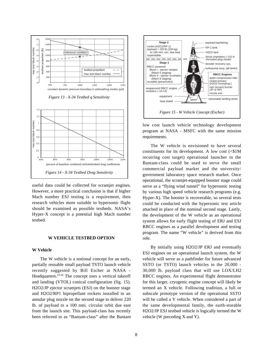

useful data could be collected for scramjet engines. However, a more practical conclusion is that if higher Mach number ESJ testing is a requirement, then research vehicles more suitable to hypersonic flight should be examined as possible testbeds. NASA's Hyper-X concept is a potential high Mach number testbed.

# **W VEHICLE TESTBED OPTION**

# **W Vehicle**

The W vehicle is a notional concept for an early, partially reusable small payload TSTO launch vehicle recently suggested by Bill Escher at NASA - Headquarters.23-24 The concept uses a vertical takeoff and landing (VTOL) conical configuration (fig. 15). H2O2/JP ejector scramjets (ESJ) on the booster stage and H2O2/RP1 bipropellant rockets installed in an annular plug nozzle on the second stage to deliver 220 lb. of payload to a 100 nmi. circular orbit due east from the launch site. This payload-class has recently been referred to as "Bantam-class" after the Bantam



low cost launch vehicle technology development program at NASA - MSFC with the same mission requirements.

The W vehicle is envisioned to have several constituents for its development. A low cost  $\langle \leq 1$  M recurring cost target) operational launcher in the Bantam-class could be used to serve the small commercial payload market and the university/ government laboratory space research market. Once operational, the scramjet-equipped booster stage could serve as a "flying wind tunnel" for hypersonic testing by various high speed vehicle research programs (e.g. Hyper-X). The booster is recoverable, so several tests could be conducted with the hypersonic test article attached in place of the nominal second stage. Lastly, the development of the W vehicle as an operational system allows for early flight testing of ERJ and ESJ RBCC engines as a parallel development and testing program. The name "W vehicle" is derived from this role.

By initially using H2O2/JP ERJ and eventually ESJ engines on an operational launch system, the W vehicle will serve as a pathfinder for future advanced SSTO (or TSTO) launch vehicles in the 20,000 - 30,000 lb. payload class that will use LOX/LH2 RBCC engines. An experimental flight demonstrator for this larger, cryogenic engine concept will likely be termed an X vehicle. Following tradition, a full or subscale prototype version of the operational SSTO will be called a Y vehicle. When considered a part of the same developmental family, the earth-storable H2O2/JP ESJ testbed vehicle is logically termed the W vehicle (W preceding X and Y).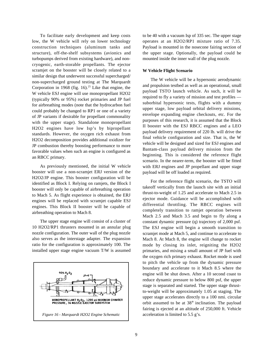To facilitate early development and keep costs low, the W vehicle will rely on lower technology construction techniques (aluminum tanks and structure), off-the-shelf subsystems (avionics and turbopumps derived from existing hardware), and noncryogenic, earth-storable propellants. The ejector scramjet on the booster will be closely related to a similar design that underwent successful supercharged/ non-supercharged ground testing at The Marquardt Corporation in 1968 (fig. 16).<sup>25</sup> Like that engine, the W vehicle ESJ engine will use monopropellant H2O2 (typically 90% or 95%) rocket primaries and JP fuel for airbreathing modes (note that the hydrocarbon fuel could probably be changed to RP1 or one of a variety of JP variants if desirable for propellant commonality with the upper stage). Standalone monopropellant H2O2 engines have low Isp's by bipropellant standards. However, the oxygen rich exhaust from H2O2 decomposition provides additional oxidizer for JP combustion thereby boosting performance to more favorable values when such an engine is configured as an RBCC primary.

As previously mentioned, the initial W vehicle booster will use a non-scramjet ERJ version of the H2O2/JP engine. This booster configuration will be identified as Block I. Relying on ramjets, the Block I booster will only be capable of airbreathing operation to Mach 5. As flight experience is obtained, the ERJ engines will be replaced with scramjet capable ESJ engines. This Block II booster will be capable of airbreathing operation to Mach 8.

The upper stage engine will consist of a cluster of 10 H2O2/RP1 thrusters mounted in an annular plug nozzle configuration. The outer wall of the plug nozzle also serves as the interstage adapter. The expansion ratio for the configuration is approximately 100. The installed upper stage engine vacuum T/W is assumed



to be 40 with a vacuum Isp of 335 sec. The upper stage operates at an H2O2/RP1 mixture ratio of 7.35. Payload is mounted in the nosecone fairing section of the upper stage. Optionally, the payload could be mounted inside the inner wall of the plug nozzle.

# **W Vehicle Flight Scenario**

The W vehicle will be a hypersonic aerodynamic and propulsion testbed as well as an operational, small payload TSTO launch vehicle. As such, it will be required to fly a variety of mission and test profiles suborbital hypersonic tests, flights with a dummy upper stage, low payload orbital delivery missions, envelope expanding engine checkouts, etc. For the purposes of this research, it is assumed that the Block II booster with the ESJ RBCC engines and a LEO payload delivery requirement of 220 lb. will drive the final vehicle configuration and size. That is, the W vehicle will be designed and sized for ESJ engines and Bantam-class payload delivery mission from the beginning. This is considered the reference flight scenario. In the nearer-term, the booster will be fitted with ERJ engines and JP propellant and upper stage payload will be off loaded as required.

For the reference flight scenario, the TSTO will takeoff vertically from the launch site with an initial thrust-to-weight of 1.25 and accelerate to Mach 2.5 in ejector mode. Guidance will be accomplished with differential throttling. The RBCC engines will completely transition to ramjet operation between Mach 2.5 and Mach 3.5 and begin to fly along a constant dynamic pressure (q) trajectory of 2,000 psf. The ESJ engine will begin a smooth transition to scramjet mode at Mach 5, and continue to accelerate to Mach 8. At Mach 8, the engine will change to rocket mode by closing its inlet, reigniting the H2O2 primaries, and mixing a small amount of JP fuel with the oxygen rich primary exhaust. Rocket mode is used to pitch the vehicle up from the dynamic pressure boundary and accelerate to it Mach 8.5 where the engine will be shut down. After a 10 second coast to reduce dynamic pressure to below 800 psf, the upper stage is separated and started. The upper stage thrustto-weight will be approximately 1.05 at staging. The upper stage accelerates directly to a 100 nmi. circular orbit assumed to be at 38° inclination. The payload fairing is ejected at an altitude of 250,000 ft. Vehicle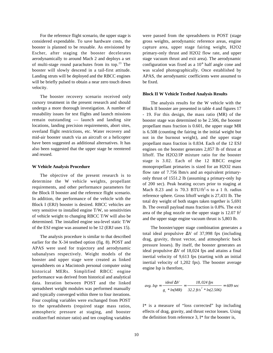For the reference flight scenario, the upper stage is considered expendable. To save hardware costs, the booster is planned to be reusable. As envisioned by Escher, after staging the booster decelerates aerodynamically to around Mach 2 and deploys a set of multi-stage round parachutes from its top. $23$  The booster will slowly descend in a tail-first attitude. Landing struts will be deployed and the RBCC engines will be briefly pulsed to obtain a near zero touch down velocity.

The booster recovery scenario received only cursory treatment in the present research and should undergo a more thorough investigation. A number of reusability issues for test flights and launch missions remain outstanding — launch and landing site locations, landing precision requirements, abort sites, overland flight restrictions, etc. Water recovery and mid-air booster snatch via an aircraft or a helicopter have been suggested as additional alternatives. It has also been suggested that the upper stage be reentered and reused.

# **W Vehicle Analysis Procedure**

The objective of the present research is to determine the W vehicle weights, propellant requirements, and other performance parameters for the Block II booster and the reference flight scenario. In addition, the performance of the vehicle with the Block I (ERJ) booster is desired. RBCC vehicles are very sensitive to installed engine T/W, so sensitivities of vehicle weight to changing RBCC T/W will also be determined. The installed engine sea-level static T/W of the ESJ engine was assumed to be 12 (ERJ uses 15).

The analysis procedure is similar to that described earlier for the X-34 testbed option (fig. 8). POST and APAS were used for trajectory and aerodynamic subanalyses respectively. Weight models of the booster and upper stage were created as linked spreadsheets on a Macintosh personal computer using historical MERs. Simplified RBCC engine performance was derived from historical and analytical data. Iteration between POST and the linked spreadsheet weight modules was performed manually and typically converged within three to four iterations. Four coupling variables were exchanged from POST to the spreadsheets (required stage mass ratios, atmospheric pressure at staging, and booster oxidizer/fuel mixture ratio) and ten coupling variables

were passed from the spreadsheets to POST (stage gross weights, aerodynamic reference areas, engine capture area, upper stage fairing weight, H2O2 primary-only thrust and H2O2 flow rate, and upper stage vacuum thrust and exit area). The aerodynamic configuration was fixed as a 10° half angle cone and was scaled photographically. Once established by APAS, the aerodynamic coefficients were assumed to be fixed.

#### **Block II W Vehicle Testbed Analysis Results**

The analysis results for the W vehicle with the Block II booster are presented in table 4 and figures 17 - 19. For this design, the mass ratio (MR) of the booster stage was determined to be 2.506, the booster propellant mass fraction is 0.601, the upper stage MR is 6.508 (counting the fairing in the initial weight but not in the burnout weight), and the upper stage propellant mass fraction is 0.834. Each of the 12 ESJ engines on the booster generates 2,857 lb of thrust at liftoff. The H2O2/JP mixture ratio for the booster stage is 3.02. Each of the 12 RBCC engine monopropellant primaries is sized for an H2O2 mass flow rate of 7.756 lbm/s and an equivalent primaryonly thrust of 1551.2 lb (assuming a primary-only Isp of 200 sec). Peak heating occurs prior to staging at Mach 8.23 and is  $70.3$  BTU/ft<sup>2</sup>-s to a 1 ft. radius reference sphere. Gross liftoff weight is 27,431 lb. The total dry weight of both stages taken together is 5,691 lb. The overall payload mass fraction is 0.8%. The exit area of the plug nozzle on the upper stage is  $12.07 \text{ ft}^2$ and the upper stage engine vacuum thrust is 5,803 lb.

The booster/upper stage combination generates a total ideal propulsive ∆V of 37,998 fps (including drag, gravity, thrust vector, and atmospheric back pressure losses). By itself, the booster generates an ideal propulsive ∆V of 18,024 fps and attains a final inertial velocity of 9,613 fps (starting with an initial inertial velocity of 1,202 fps). The booster average engine Isp is therefore,

$$
avg. \text{ Isp} = \frac{ideal \Delta V}{g_c * ln(MR)} = \frac{18,024 \text{ fps}}{32.2 \text{ f/s}^2 * ln(2.506)} = 609 \text{ sec}
$$

I\* is a measure of "loss corrected" Isp including effects of drag, gravity, and thrust vector losses. Using the definition from reference 3, I\* for the booster is,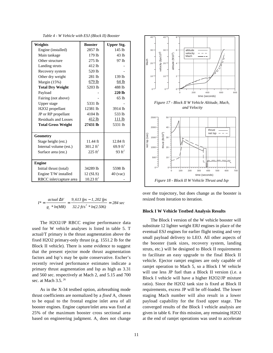|  | Table 4 - W Vehicle with ESJ (Block II) Booster |  |  |  |
|--|-------------------------------------------------|--|--|--|
|--|-------------------------------------------------|--|--|--|

| Weights                   | <b>Booster</b>       | <b>Upper Stg.</b>   |
|---------------------------|----------------------|---------------------|
| Engine (installed)        | 2857 lb              | $145$ lb            |
| Main tankage              | 179 lb               | 43 lb               |
| Other structure           | $275$ lb             | 97 lb               |
| Landing struts            | 412 lb               |                     |
| Recovery system           | 520 lb               |                     |
| Other dry weight          | 281 lb               | 139 lb              |
| Margin (15%)              | $679$ lb             | 64 lb               |
| <b>Total Dry Weight</b>   | 5203 lb              | 488 lb              |
| Payload                   |                      | 220 lb              |
| Fairing (not above)       |                      | 65 lb               |
| Upper stage               | 5331 lb              |                     |
| H2O2 propellant           | 12381 lb             | 3914 lb             |
| JP or RP propellant       | 4104 lb              | 533 lb              |
| Residuals and Losses      | $412$ lb             | 111 <sub>1</sub>    |
| <b>Total Gross Weight</b> | 27431 lb             | 5331 lb             |
|                           |                      |                     |
| <b>Geometry</b>           |                      |                     |
| Stage height (est.)       | $11.44$ ft           | 12.84 ft            |
| Internal volume (est.)    | $301.2 \text{ ft}^3$ | $69.9 \text{ ft}^3$ |
| Surface area (est.)       | $225 \text{ ft}^2$   | $93 \text{ ft}^2$   |
|                           |                      |                     |
| <b>Engine</b>             |                      |                     |
| Initial thrust (total)    | 34289 lb             | 5598 lb             |
| Engine T/W installed      | 12 (SLS)             | $40$ (vac)          |
| RBCC inlet/capture area   | $10.23 \text{ ft}^2$ |                     |

$$
I^* = \frac{actual \Delta V}{g_c * ln(MR)} = \frac{9,613 \text{ fps} - 1,202 \text{ fps}}{32.2 \text{ f/s}^2 * ln(2.506)} = 284 \text{ sec}
$$

The H2O2/JP RBCC engine performance data used for W vehicle analyses is listed in table 5. T actual/T primary is the thrust augmentation above the fixed H2O2 primary-only thrust (e.g. 1551.2 lb for the Block II vehicle). There is some evidence to suggest that the present ejector mode thrust augmentation factors and Isp's may be quite conservative. Escher's recently revised performance estimates indicate a primary thrust augmentation and Isp as high as 3.31 and 560 sec. respectively at Mach 2, and 5.15 and 700 sec. at Mach 3.5.<sup>26</sup>

As in the X-34 testbed option, airbreathing mode thrust coefficients are normalized by a *fixed* A<sub>c</sub> chosen to be equal to the frontal engine inlet area of all booster engines. Engine capture/inlet area was fixed at 25% of the maximum booster cross sectional area based on engineering judgment.  $A_c$  does not change



over the trajectory, but does change as the booster is resized from iteration to iteration.

# **Block I W Vehicle Testbed Analysis Results**

The Block I version of the W vehicle booster will substitute 12 lighter weight ERJ engines in place of the eventual ESJ engines for earlier flight testing and very small payload delivery to LEO. All other aspects of the booster (tank sizes, recovery system, landing struts, etc.) will be designed to Block II requirements to facilitate an easy upgrade to the final Block II vehicle. Ejector ramjet engines are only capable of ramjet operation to Mach 5, so a Block I W vehicle will use less JP fuel than a Block II version (i.e. a Block I vehicle will have a higher H2O2/JP mixture ratio). Since the H2O2 tank size is fixed at Block II requirements, excess JP will be off-loaded. The lower staging Mach number will also result in a lower payload capability for the fixed upper stage. The converged results of the Block I vehicle analysis are given in table 6. For this mission, any remaining H2O2 at the end of ramjet operations was used to accelerate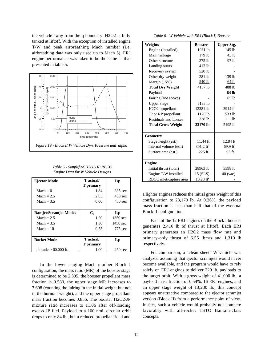the vehicle away from the q boundary. H2O2 is fully tanked at liftoff. With the exception of installed engine T/W and peak airbreathing Mach number (i.e. airbreathing data was only used up to Mach 5), ERJ engine performance was taken to be the same as that presented in table 5.



*Table 5 - Simplified H2O2/JP RBCC Engine Data for W Vehicle Designs*

| Ejector Mode                 | T actual/<br>T primary | <b>Isp</b>         |
|------------------------------|------------------------|--------------------|
| $Mach = 0$                   | 1.84                   | 335 sec            |
| Mach $= 2.5$                 | 2.63                   | $400 \text{ sec}$  |
| Mach $= 3.5$                 | 0.00                   | $400 \text{ sec}$  |
|                              |                        |                    |
| <b>Ramjet/Scramjet Modes</b> | $\mathbf{C}_{\cdot}$   | <b>Isp</b>         |
| Mach $= 2.5$                 | 1.20                   | 1350 sec           |
| Mach $=$ 3.5                 | 1.30                   | $1450 \text{ sec}$ |
| $Mach = 10$                  | 0.55                   | 775 sec            |
|                              |                        |                    |
| <b>Rocket Mode</b>           | T actual/              | Isp                |
|                              | T primary              |                    |
| altitude $> 60,000$ ft.      | 1.00                   | $250 \text{ sec}$  |

In the lower staging Mach number Block I configuration, the mass ratio (MR) of the booster stage is determined to be 2.395, the booster propellant mass fraction is 0.583, the upper stage MR increases to 7.608 (counting the fairing in the initial weight but not in the burnout weight), and the upper stage propellant mass fraction becomes 0.856. The booster H2O2/JP mixture ratio increases to 11.06 after off-loading excess JP fuel. Payload to a 100 nmi. circular orbit drops to only 84 lb., but a reduced propellant load and

*Table 6 - W Vehicle with ERJ (Block I) Booster*

| Weights                   | <b>Booster</b>          | <b>Upper Stg.</b>   |
|---------------------------|-------------------------|---------------------|
| Engine (installed)        | 1931 lb                 | $145$ lb            |
| Main tankage              | 179 lb                  | 43 <sub>1h</sub>    |
| Other structure           | $275$ lb                | 97 lb               |
| Landing struts            | 412 lb                  |                     |
| Recovery system           | 520 lb                  |                     |
| Other dry weight          | 281 lb                  | 139 lb              |
| Margin (15%)              | 540 lb                  | 64 lb               |
| <b>Total Dry Weight</b>   | 4137 lb                 | 488 lb              |
| Payload                   |                         | 84 lb               |
| Fairing (not above)       |                         | 65 lb               |
| Upper stage               | 5195 lb                 |                     |
| H2O2 propellant           | 12381 lb                | 3914 lb             |
| JP or RP propellant       | 1120 lb                 | 533 lb              |
| Residuals and Losses      | 338 lb                  | 111 <sub>lb</sub>   |
| <b>Total Gross Weight</b> | 23170 lb                | 5195 lb             |
|                           |                         |                     |
| Geometry                  |                         |                     |
| Stage height (est.)       | 11.44 ft                | 12.84 ft            |
| Internal volume (est.)    | 301.2 $ft^3$            | $69.9 \text{ ft}^3$ |
| Surface area (est.)       | $225 \text{ ft}^2$      | $93 \text{ ft}^2$   |
|                           |                         |                     |
| <b>Engine</b>             |                         |                     |
| Initial thrust (total)    | 28963 lb                | 5598 lb             |
| Engine T/W installed      | 15 (SLS)                | $40$ (vac)          |
| RBCC inlet/capture area   | $10.23$ ft <sup>2</sup> |                     |

a lighter engines reduces the initial gross weight of this configuration to 23,170 lb. At 0.36%, the payload mass fraction is less than half that of the eventual Block II configuration.

Each of the 12 ERJ engines on the Block I booster generates 2,410 lb of thrust at liftoff. Each ERJ primary generates an H2O2 mass flow rate and primary-only thrust of 6.55 lbm/s and 1,310 lb respectively.

For comparison, a "clean sheet" W vehicle was analyzed assuming that ejector scramjets would never become available, and the program would have to rely solely on ERJ engines to deliver 220 lb. payloads to the target orbit. With a gross weight of 41,000 lb., a payload mass fraction of 0.54%, 16 ERJ engines, and an upper stage weight of 13,230 lb., this concept appears unattractive compared to the ejector scramjet version (Block II) from a performance point of view. In fact, such a vehicle would probably not compete favorably with all-rocket TSTO Bantam-class concepts.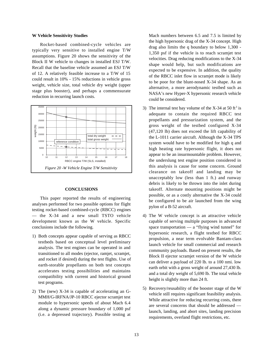#### **W Vehicle Sensitivity Studies**

Rocket-based combined-cycle vehicles are typically very sensitive to installed engine T/W assumptions. Figure 20 shows the sensitivity of the Block II W vehicle to changes in installed ESJ T/W. Recall that the baseline vehicle assumed an ESJ T/W of 12. A relatively feasible increase to a T/W of 15 could result in 10% - 15% reductions in vehicle gross weight, vehicle size, total vehicle dry weight (upper stage plus booster), and perhaps a commensurate reduction in recurring launch costs.



#### **CONCLUSIONS**

This paper reported the results of engineering analyses performed for two possible options for flight testing rocket-based combined-cycle (RBCC) engines — the X-34 and a new small TSTO vehicle development known as the W vehicle. Specific conclusions include the following.

- 1) Both concepts appear capable of serving as RBCC testbeds based on conceptual level preliminary analysis. The test engines can be operated in and transitioned to all modes (ejector, ramjet, scramjet, and rocket if desired) during the test flights. Use of earth-storable propellants on both test concepts accelerates testing possibilities and maintains compatibility with current and historical ground test programs.
- 2) The (new) X-34 is capable of accelerating an G-MMH/G-IRFNA/JP-10 RBCC ejector scramjet test module to hypersonic speeds of about Mach 6.4 along a dynamic pressure boundary of 1,000 psf (i.e. a depressed trajectory). Possible testing at

Mach numbers between 6.5 and 7.5 is limited by the high hypersonic drag of the X-34 concept. High drag also limits the q boundary to below 1,300 - 1,350 psf if the vehicle is to reach scramjet test velocities. Drag reducing modifications to the X-34 shape would help, but such modifications are expected to be expensive. In addition, the quality of the RBCC inlet flow in scramjet mode is likely to be poor for the blunt-nosed X-34 shape. As an alternative, a more aerodynamic testbed such as NASA's new Hyper-X hypersonic research vehicle could be considered.

- 3) The internal test bay volume of the X-34 at 50 ft<sup>3</sup> is adequate to contain the required RBCC test propellants and pressurization system, and the gross weight of the testbed configured X-34 (47,120 lb) does not exceed the lift capability of the L-1011 carrier aircraft. Although the X-34 TPS system would have to be modified for high q and high heating rate hypersonic flight, it does not appear to be an insurmountable problem. However, the underslung test engine position considered in this analysis is cause for some concern. Ground clearance on takeoff and landing may be unacceptably low (less than 1 ft.) and runway debris is likely to be thrown into the inlet during takeoff. Alternate mounting positions might be possible, or as a costly alternative the X-34 could be configured to be air launched from the wing pylon of a B-52 aircraft.
- 4) The W vehicle concept is an attractive vehicle capable of serving multiple purposes in advanced space transportation — a "flying wind tunnel" for hypersonic research, a flight testbed for RBCC propulsion, a near term evolvable Bantam-class launch vehicle for small commercial and research community payloads. Based on present results, the Block II ejector scramjet version of the W vehicle can deliver a payload of 220 lb. to a 100 nmi. low earth orbit with a gross weight of around 27,430 lb. and a total dry weight of 5,690 lb. The total vehicle height is slightly more than 24 ft.
- 5) Recovery/reusability of the booster stage of the W vehicle still requires significant feasibility analysis. While attractive for reducing recurring costs, there are several concerns that should be addressed launch, landing, and abort sites, landing precision requirements, overland flight restrictions, etc.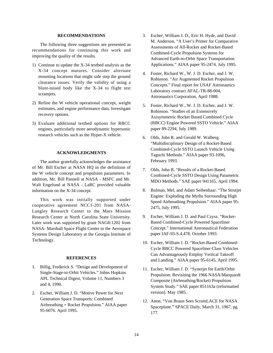# **RECOMMENDATIONS**

The following three suggestions are presented as recommendations for continuing this work and improving the quality of the results.

- 1) Continue to update the X-34 testbed analysis as the X-34 concept matures. Consider alternate mounting locations that might side step the ground clearance issues. Verify the validity of using a blunt-nosed body like the X-34 to flight test scramjets.
- 2) Refine the W vehicle operational concept, weight estimates, and engine performance data. Investigate recovery options.
- 3) Evaluate additional testbed options for RBCC engines, particularly more aerodynamic hypersonic research vehicles such as the Hyper-X vehicle.

#### **ACKNOWLEDGMENTS**

The author gratefully acknowledges the assistance of Mr. Bill Escher at NASA HQ in the definition of the W vehicle concept and propulsion parameters. In addition, Mr. Bill Pannell at NASA - MSFC and Mr. Walt Engelund at NASA - LaRC provided valuable information on the X-34 concept.

This work was initially supported under cooperative agreement NCC1-201 from NASA-Langley Research Center to the Mars Mission Research Center at North Carolina State University. Later work was supported by grant NAG8-1202 from NASA- Marshall Space Flight Center to the Aerospace Systems Design Laboratory at the Georgia Institute of Technology.

## **REFERENCES**

- 1. Billig, Frederick S. "Design and Development of Single-Stage-to-Orbit Vehicles." Johns Hopkins APL Technical Digest, Volume 11, Numbers 3 and 4, 1990.
- 2. Escher, William J. D. "Motive Power for Next Generation Space Transports: Combined Airbreathing + Rocket Propulsion." AIAA paper 95-6076. April 1995.
- 3. Escher, William J. D., Eric H. Hyde, and David M. Anderson. "A User's Primer for Comparative Assessments of All-Rocket and Rocket-Based Combined-Cycle Propulsion Systems for Advanced Earth-to-Orbit Space Transportation Applications." AIAA paper 95-2474. July 1995.
- 4. Foster, Richard W., W. J. D. Escher, and J. W. Robinson. "Air Augmented Rocket Propulsion Concepts." Final report for USAF Astronautics Laboratory contract AFAL-TR-88-004, Astronautics Corporation, April 1988.
- 5. Foster, Richard W., W. J. D. Escher, and J. W. Robinson. "Studies of an Extensively Axisymmetric Rocket Based Combined Cycle (RBCC) Engine Powered SSTO Vehicle." AIAA paper 89-2294, July 1989.
- 6. Olds, John R. and Gerald W. Walberg. "Multidisciplinary Design of a Rocket-Based Combined-Cycle SSTO Launch Vehicle Using Taguchi Methods." AIAA paper 93-1096, February 1993.
- 7. Olds, John R. "Results of a Rocket-Based Combined-Cycle SSTO Design Using Parametric MDO Methods." SAE paper 941165, April 1994.
- 8. Bulman, Mel, and Adam Seibenhaar. "The Strutjet Engine: Exploding the Myths Surrounding High Speed Airbreathing Propulsion." AIAA paper 95- 2475, July 1995.
- 9. Escher, William J. D. and Paul Czysz. "Rocket-Based Combined-Cycle Powered Spaceliner Concept." International Astronautical Federation paper IAF-93-S.4.478. October 1993.
- 10. Escher, William J. D. "Rocket-Based Combined-Cycle RBCC Powered Spaceliner Class Vehicles Can Advantageously Employ Vertical Takeoff and Landing." AIAA paper 95-6145, April 1995.
- 11. Escher, William J. D. "Synerjet for Earth/Orbit Propulsion: Revisiting the 1966 NASA/Marquardt Composite (Airbreathing/Rocket) Propulsion System Study." SAE paper 851163a (reformatted version). May 1985.
- 12. Anon. "Von Braun Sees ScramLACE for NASA Spaceplane." SPACE Daily, March 31, 1967, pg. 177.